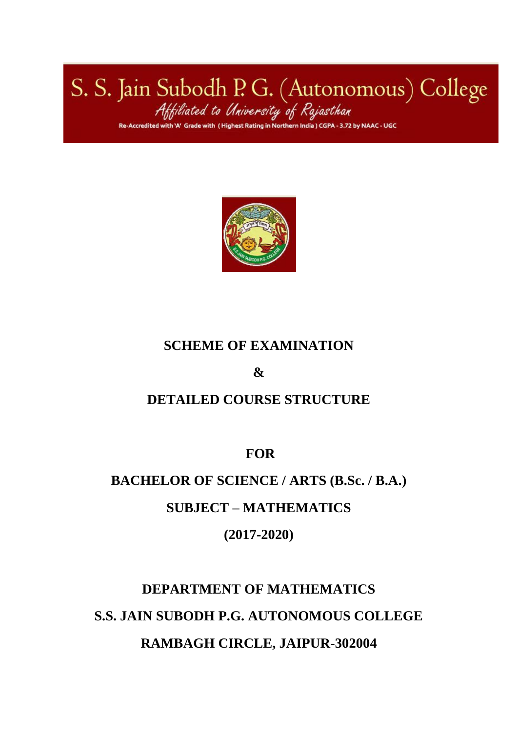S. S. Jain Subodh P. G. (Autonomous) College<br>Affiliated to University of Rajasthan<br>Re-Accredited with 'N Grade with (Highest Rating in Northern India) CGPA-3.72 by NAAC-UGC



## **SCHEME OF EXAMINATION**

**&**

## **DETAILED COURSE STRUCTURE**

**FOR**

## **BACHELOR OF SCIENCE / ARTS (B.Sc. / B.A.)**

## **SUBJECT – MATHEMATICS**

## **(2017-2020)**

# **DEPARTMENT OF MATHEMATICS S.S. JAIN SUBODH P.G. AUTONOMOUS COLLEGE RAMBAGH CIRCLE, JAIPUR-302004**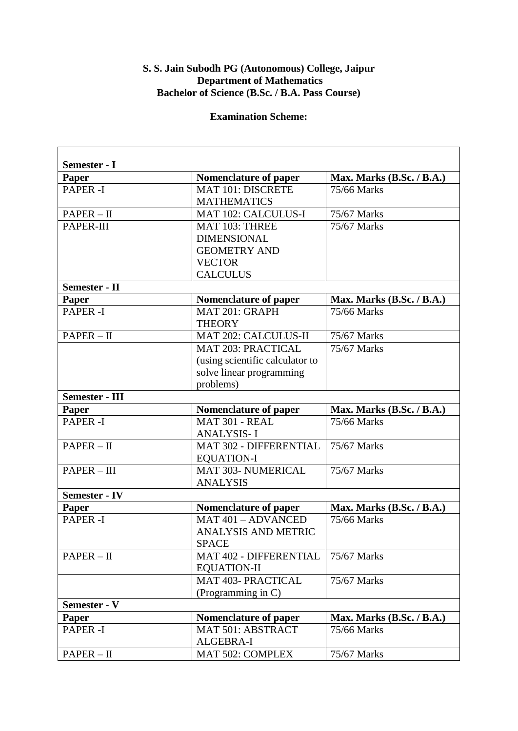#### **S. S. Jain Subodh PG (Autonomous) College, Jaipur Department of Mathematics Bachelor of Science (B.Sc. / B.A. Pass Course)**

#### **Examination Scheme:**

**r** 

| Semester - I<br>Paper | Nomenclature of paper           | Max. Marks $(B.Sc. / B.A.)$ |
|-----------------------|---------------------------------|-----------------------------|
| PAPER-I               | <b>MAT 101: DISCRETE</b>        | 75/66 Marks                 |
|                       | <b>MATHEMATICS</b>              |                             |
| $PAPER - II$          | <b>MAT 102: CALCULUS-I</b>      | 75/67 Marks                 |
| PAPER-III             | MAT 103: THREE                  | 75/67 Marks                 |
|                       | <b>DIMENSIONAL</b>              |                             |
|                       | <b>GEOMETRY AND</b>             |                             |
|                       | <b>VECTOR</b>                   |                             |
|                       | <b>CALCULUS</b>                 |                             |
| <b>Semester - II</b>  |                                 |                             |
| <b>Paper</b>          | Nomenclature of paper           | Max. Marks (B.Sc. / B.A.)   |
| <b>PAPER-I</b>        | MAT 201: GRAPH                  | 75/66 Marks                 |
|                       | <b>THEORY</b>                   |                             |
| $PAPER - II$          | <b>MAT 202: CALCULUS-II</b>     | 75/67 Marks                 |
|                       | <b>MAT 203: PRACTICAL</b>       | 75/67 Marks                 |
|                       | (using scientific calculator to |                             |
|                       | solve linear programming        |                             |
|                       | problems)                       |                             |
| <b>Semester - III</b> |                                 |                             |
| <b>Paper</b>          | <b>Nomenclature of paper</b>    | Max. Marks (B.Sc. / B.A.)   |
| <b>PAPER-I</b>        | MAT 301 - REAL                  | 75/66 Marks                 |
|                       | <b>ANALYSIS-I</b>               |                             |
| $PAPER - II$          | MAT 302 - DIFFERENTIAL          | 75/67 Marks                 |
|                       | <b>EQUATION-I</b>               |                             |
| PAPER - III           | <b>MAT 303- NUMERICAL</b>       | 75/67 Marks                 |
|                       | <b>ANALYSIS</b>                 |                             |
| <b>Semester - IV</b>  |                                 |                             |
| Paper                 | Nomenclature of paper           | Max. Marks (B.Sc. / B.A.)   |
| <b>PAPER-I</b>        | MAT 401 - ADVANCED              | 75/66 Marks                 |
|                       | <b>ANALYSIS AND METRIC</b>      |                             |
|                       | <b>SPACE</b>                    |                             |
| $PAPER - II$          | <b>MAT 402 - DIFFERENTIAL</b>   | 75/67 Marks                 |
|                       | <b>EQUATION-II</b>              |                             |
|                       | MAT 403- PRACTICAL              | 75/67 Marks                 |
|                       | (Programming in C)              |                             |
| Semester - V          |                                 |                             |
| Paper                 | Nomenclature of paper           | Max. Marks (B.Sc. / B.A.)   |
| <b>PAPER-I</b>        | MAT 501: ABSTRACT               | 75/66 Marks                 |
|                       |                                 |                             |
|                       | <b>ALGEBRA-I</b>                |                             |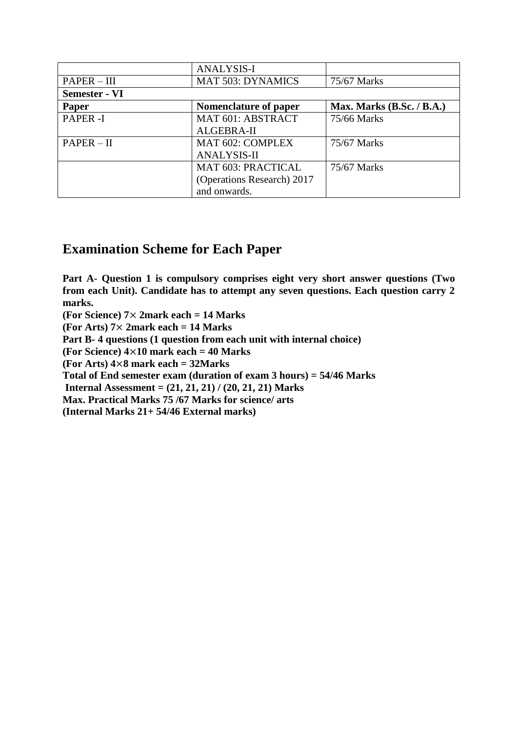|                      | <b>ANALYSIS-I</b>          |                             |
|----------------------|----------------------------|-----------------------------|
| $PAPER - III$        | <b>MAT 503: DYNAMICS</b>   | 75/67 Marks                 |
| <b>Semester - VI</b> |                            |                             |
| Paper                | Nomenclature of paper      | Max. Marks $(B.Sc. / B.A.)$ |
| <b>PAPER-I</b>       | MAT 601: ABSTRACT          | 75/66 Marks                 |
|                      | ALGEBRA-II                 |                             |
| $PAPER - II$         | MAT 602: COMPLEX           | 75/67 Marks                 |
|                      | <b>ANALYSIS-II</b>         |                             |
|                      | <b>MAT 603: PRACTICAL</b>  | 75/67 Marks                 |
|                      | (Operations Research) 2017 |                             |
|                      | and onwards.               |                             |

## **Examination Scheme for Each Paper**

**Part A**- **Question 1 is compulsory comprises eight very short answer questions (Two from each Unit). Candidate has to attempt any seven questions. Each question carry 2 marks.** 

**(For Science) 7**× **2mark each = 14 Marks** 

**(For Arts) 7**× **2mark each = 14 Marks** 

**Part B- 4 questions (1 question from each unit with internal choice)** 

**(For Science) 4**×**10 mark each = 40 Marks** 

**(For Arts) 4**×**8 mark each = 32Marks** 

**Total of End semester exam (duration of exam 3 hours) = 54/46 Marks** 

**Internal Assessment = (21, 21, 21) / (20, 21, 21) Marks** 

**Max. Practical Marks 75 /67 Marks for science/ arts** 

**(Internal Marks 21+ 54/46 External marks)**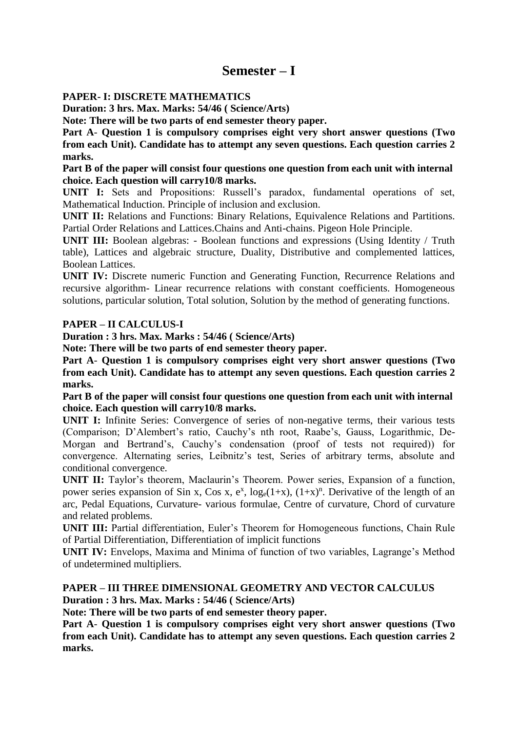### **Semester – I**

#### **PAPER- I: DISCRETE MATHEMATICS**

**Duration: 3 hrs. Max. Marks: 54/46 ( Science/Arts)** 

**Note: There will be two parts of end semester theory paper.** 

**Part A**- **Question 1 is compulsory comprises eight very short answer questions (Two from each Unit). Candidate has to attempt any seven questions. Each question carries 2 marks.** 

**Part B of the paper will consist four questions one question from each unit with internal choice. Each question will carry10/8 marks.** 

**UNIT I:** Sets and Propositions: Russell's paradox, fundamental operations of set, Mathematical Induction. Principle of inclusion and exclusion.

**UNIT II:** Relations and Functions: Binary Relations, Equivalence Relations and Partitions. Partial Order Relations and Lattices.Chains and Anti-chains. Pigeon Hole Principle.

**UNIT III:** Boolean algebras: - Boolean functions and expressions (Using Identity / Truth table), Lattices and algebraic structure, Duality, Distributive and complemented lattices, Boolean Lattices.

**UNIT IV:** Discrete numeric Function and Generating Function, Recurrence Relations and recursive algorithm- Linear recurrence relations with constant coefficients. Homogeneous solutions, particular solution, Total solution, Solution by the method of generating functions.

#### **PAPER – II CALCULUS-I**

**Duration : 3 hrs. Max. Marks : 54/46 ( Science/Arts)** 

**Note: There will be two parts of end semester theory paper.** 

**Part A**- **Question 1 is compulsory comprises eight very short answer questions (Two from each Unit). Candidate has to attempt any seven questions. Each question carries 2 marks.** 

**Part B of the paper will consist four questions one question from each unit with internal choice. Each question will carry10/8 marks.** 

**UNIT I:** Infinite Series: Convergence of series of non-negative terms, their various tests (Comparison; D'Alembert's ratio, Cauchy's nth root, Raabe's, Gauss, Logarithmic, De-Morgan and Bertrand's, Cauchy's condensation (proof of tests not required)) for convergence. Alternating series, Leibnitz's test, Series of arbitrary terms, absolute and conditional convergence.

**UNIT II:** Taylor's theorem, Maclaurin's Theorem. Power series, Expansion of a function, power series expansion of Sin x, Cos x,  $e^x$ ,  $log_e(1+x)$ ,  $(1+x)^n$ . Derivative of the length of an arc, Pedal Equations, Curvature- various formulae, Centre of curvature, Chord of curvature and related problems.

**UNIT III:** Partial differentiation, Euler's Theorem for Homogeneous functions, Chain Rule of Partial Differentiation, Differentiation of implicit functions

**UNIT IV:** Envelops, Maxima and Minima of function of two variables, Lagrange's Method of undetermined multipliers.

#### **PAPER – III THREE DIMENSIONAL GEOMETRY AND VECTOR CALCULUS Duration : 3 hrs. Max. Marks : 54/46 ( Science/Arts)**

**Note: There will be two parts of end semester theory paper.** 

**Part A**- **Question 1 is compulsory comprises eight very short answer questions (Two from each Unit). Candidate has to attempt any seven questions. Each question carries 2 marks.**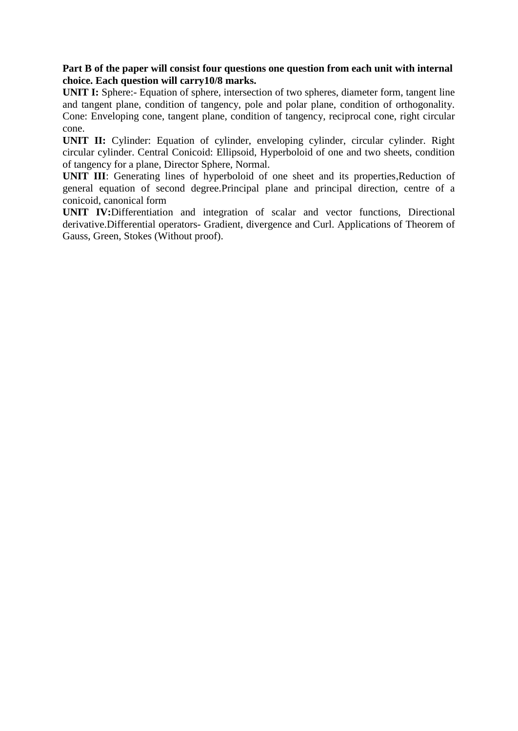#### **Part B of the paper will consist four questions one question from each unit with internal choice. Each question will carry10/8 marks.**

**UNIT I:** Sphere:- Equation of sphere, intersection of two spheres, diameter form, tangent line and tangent plane, condition of tangency, pole and polar plane, condition of orthogonality. Cone: Enveloping cone, tangent plane, condition of tangency, reciprocal cone, right circular cone.

**UNIT II:** Cylinder: Equation of cylinder, enveloping cylinder, circular cylinder. Right circular cylinder. Central Conicoid: Ellipsoid, Hyperboloid of one and two sheets, condition of tangency for a plane, Director Sphere, Normal.

**UNIT III**: Generating lines of hyperboloid of one sheet and its properties, Reduction of general equation of second degree.Principal plane and principal direction, centre of a conicoid, canonical form

**UNIT IV:**Differentiation and integration of scalar and vector functions, Directional derivative.Differential operators- Gradient, divergence and Curl. Applications of Theorem of Gauss, Green, Stokes (Without proof).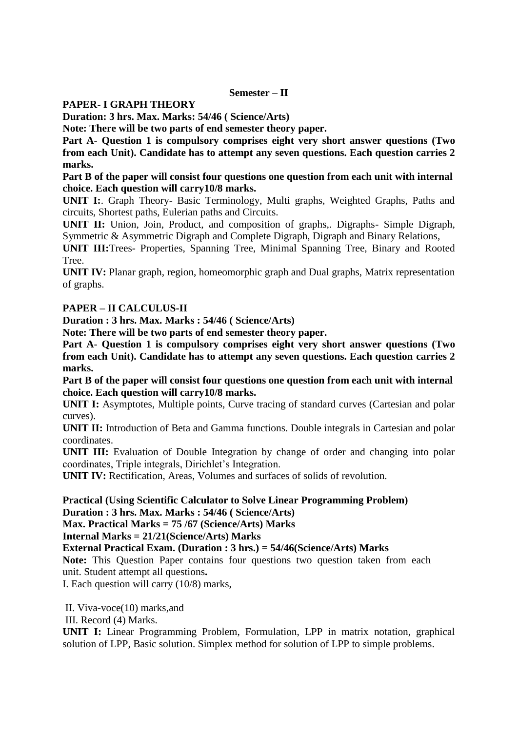#### **Semester – II**

#### **PAPER- I GRAPH THEORY**

**Duration: 3 hrs. Max. Marks: 54/46 ( Science/Arts)** 

**Note: There will be two parts of end semester theory paper.** 

**Part A**- **Question 1 is compulsory comprises eight very short answer questions (Two from each Unit). Candidate has to attempt any seven questions. Each question carries 2 marks.** 

**Part B of the paper will consist four questions one question from each unit with internal choice. Each question will carry10/8 marks.** 

**UNIT I:**. Graph Theory- Basic Terminology, Multi graphs, Weighted Graphs, Paths and circuits, Shortest paths, Eulerian paths and Circuits.

**UNIT II:** Union, Join, Product, and composition of graphs,. Digraphs- Simple Digraph, Symmetric & Asymmetric Digraph and Complete Digraph, Digraph and Binary Relations,

**UNIT III:**Trees- Properties, Spanning Tree, Minimal Spanning Tree, Binary and Rooted Tree.

**UNIT IV:** Planar graph, region, homeomorphic graph and Dual graphs, Matrix representation of graphs.

#### **PAPER – II CALCULUS-II**

**Duration : 3 hrs. Max. Marks : 54/46 ( Science/Arts)** 

**Note: There will be two parts of end semester theory paper.** 

**Part A**- **Question 1 is compulsory comprises eight very short answer questions (Two from each Unit). Candidate has to attempt any seven questions. Each question carries 2 marks.** 

**Part B of the paper will consist four questions one question from each unit with internal choice. Each question will carry10/8 marks.** 

**UNIT I:** Asymptotes, Multiple points, Curve tracing of standard curves (Cartesian and polar curves).

**UNIT II:** Introduction of Beta and Gamma functions. Double integrals in Cartesian and polar coordinates.

**UNIT III:** Evaluation of Double Integration by change of order and changing into polar coordinates, Triple integrals, Dirichlet's Integration.

**UNIT IV:** Rectification, Areas, Volumes and surfaces of solids of revolution.

**Practical (Using Scientific Calculator to Solve Linear Programming Problem) Duration : 3 hrs. Max. Marks : 54/46 ( Science/Arts)** 

**Max. Practical Marks = 75 /67 (Science/Arts) Marks** 

**Internal Marks = 21/21(Science/Arts) Marks** 

**External Practical Exam. (Duration : 3 hrs.) = 54/46(Science/Arts) Marks** 

**Note:** This Question Paper contains four questions two question taken from each unit. Student attempt all questions**.** 

I. Each question will carry (10/8) marks,

II. Viva-voce(10) marks,and

III. Record (4) Marks.

**UNIT I:** Linear Programming Problem, Formulation, LPP in matrix notation, graphical solution of LPP, Basic solution. Simplex method for solution of LPP to simple problems.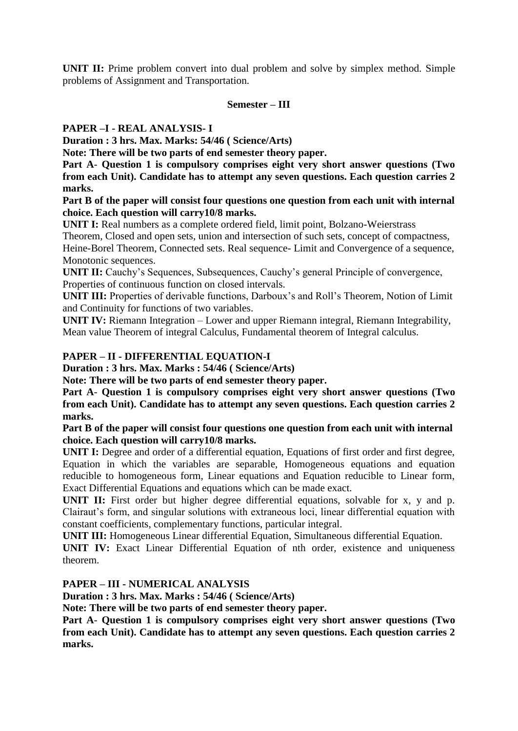**UNIT II:** Prime problem convert into dual problem and solve by simplex method. Simple problems of Assignment and Transportation.

#### **Semester – III**

#### **PAPER –I - REAL ANALYSIS- I**

**Duration : 3 hrs. Max. Marks: 54/46 ( Science/Arts)** 

**Note: There will be two parts of end semester theory paper.** 

**Part A**- **Question 1 is compulsory comprises eight very short answer questions (Two from each Unit). Candidate has to attempt any seven questions. Each question carries 2 marks.** 

**Part B of the paper will consist four questions one question from each unit with internal choice. Each question will carry10/8 marks.** 

**UNIT I:** Real numbers as a complete ordered field, limit point, Bolzano-Weierstrass

Theorem, Closed and open sets, union and intersection of such sets, concept of compactness,

Heine-Borel Theorem, Connected sets. Real sequence- Limit and Convergence of a sequence, Monotonic sequences.

**UNIT II:** Cauchy's Sequences, Subsequences, Cauchy's general Principle of convergence, Properties of continuous function on closed intervals.

**UNIT III:** Properties of derivable functions, Darboux's and Roll's Theorem, Notion of Limit and Continuity for functions of two variables.

**UNIT IV:** Riemann Integration – Lower and upper Riemann integral, Riemann Integrability, Mean value Theorem of integral Calculus, Fundamental theorem of Integral calculus.

#### **PAPER – II - DIFFERENTIAL EQUATION-I**

**Duration : 3 hrs. Max. Marks : 54/46 ( Science/Arts)** 

**Note: There will be two parts of end semester theory paper.** 

**Part A**- **Question 1 is compulsory comprises eight very short answer questions (Two from each Unit). Candidate has to attempt any seven questions. Each question carries 2 marks.** 

**Part B of the paper will consist four questions one question from each unit with internal choice. Each question will carry10/8 marks.** 

**UNIT I:** Degree and order of a differential equation, Equations of first order and first degree, Equation in which the variables are separable, Homogeneous equations and equation reducible to homogeneous form, Linear equations and Equation reducible to Linear form, Exact Differential Equations and equations which can be made exact.

**UNIT II:** First order but higher degree differential equations, solvable for x, y and p. Clairaut's form, and singular solutions with extraneous loci, linear differential equation with constant coefficients, complementary functions, particular integral.

**UNIT III:** Homogeneous Linear differential Equation, Simultaneous differential Equation.

**UNIT IV:** Exact Linear Differential Equation of nth order, existence and uniqueness theorem.

**PAPER – III - NUMERICAL ANALYSIS** 

**Duration : 3 hrs. Max. Marks : 54/46 ( Science/Arts)** 

**Note: There will be two parts of end semester theory paper.** 

**Part A**- **Question 1 is compulsory comprises eight very short answer questions (Two from each Unit). Candidate has to attempt any seven questions. Each question carries 2 marks.**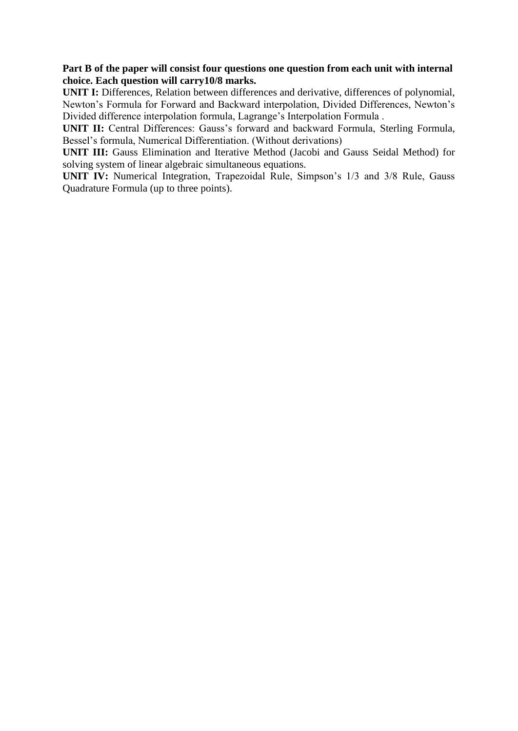#### **Part B of the paper will consist four questions one question from each unit with internal choice. Each question will carry10/8 marks.**

**UNIT I:** Differences, Relation between differences and derivative, differences of polynomial, Newton's Formula for Forward and Backward interpolation, Divided Differences, Newton's Divided difference interpolation formula, Lagrange's Interpolation Formula .

**UNIT II:** Central Differences: Gauss's forward and backward Formula, Sterling Formula, Bessel's formula, Numerical Differentiation. (Without derivations)

**UNIT III:** Gauss Elimination and Iterative Method (Jacobi and Gauss Seidal Method) for solving system of linear algebraic simultaneous equations.

**UNIT IV:** Numerical Integration, Trapezoidal Rule, Simpson's 1/3 and 3/8 Rule, Gauss Quadrature Formula (up to three points).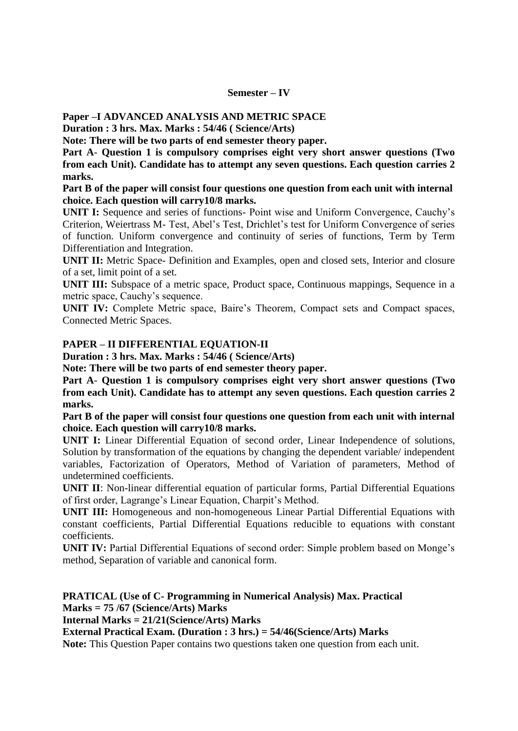#### **Semester – IV**

**Paper –I ADVANCED ANALYSIS AND METRIC SPACE** 

**Duration : 3 hrs. Max. Marks : 54/46 ( Science/Arts)** 

**Note: There will be two parts of end semester theory paper.** 

**Part A**- **Question 1 is compulsory comprises eight very short answer questions (Two from each Unit). Candidate has to attempt any seven questions. Each question carries 2 marks.** 

**Part B of the paper will consist four questions one question from each unit with internal choice. Each question will carry10/8 marks.** 

**UNIT I:** Sequence and series of functions- Point wise and Uniform Convergence, Cauchy's Criterion, Weiertrass M- Test, Abel's Test, Drichlet's test for Uniform Convergence of series of function. Uniform convergence and continuity of series of functions, Term by Term Differentiation and Integration.

**UNIT II:** Metric Space- Definition and Examples, open and closed sets, Interior and closure of a set, limit point of a set.

**UNIT III:** Subspace of a metric space, Product space, Continuous mappings, Sequence in a metric space, Cauchy's sequence.

**UNIT IV:** Complete Metric space, Baire's Theorem, Compact sets and Compact spaces, Connected Metric Spaces.

#### **PAPER – II DIFFERENTIAL EQUATION-II**

**Duration : 3 hrs. Max. Marks : 54/46 ( Science/Arts)** 

**Note: There will be two parts of end semester theory paper.** 

**Part A**- **Question 1 is compulsory comprises eight very short answer questions (Two from each Unit). Candidate has to attempt any seven questions. Each question carries 2 marks.** 

**Part B of the paper will consist four questions one question from each unit with internal choice. Each question will carry10/8 marks.** 

**UNIT I:** Linear Differential Equation of second order, Linear Independence of solutions, Solution by transformation of the equations by changing the dependent variable/ independent variables, Factorization of Operators, Method of Variation of parameters, Method of undetermined coefficients.

**UNIT II**: Non-linear differential equation of particular forms, Partial Differential Equations of first order, Lagrange's Linear Equation, Charpit's Method.

**UNIT III:** Homogeneous and non-homogeneous Linear Partial Differential Equations with constant coefficients, Partial Differential Equations reducible to equations with constant coefficients.

**UNIT IV:** Partial Differential Equations of second order: Simple problem based on Monge's method, Separation of variable and canonical form.

**PRATICAL (Use of C- Programming in Numerical Analysis) Max. Practical Marks = 75 /67 (Science/Arts) Marks** 

**Internal Marks = 21/21(Science/Arts) Marks** 

**External Practical Exam. (Duration : 3 hrs.) = 54/46(Science/Arts) Marks** 

**Note:** This Question Paper contains two questions taken one question from each unit.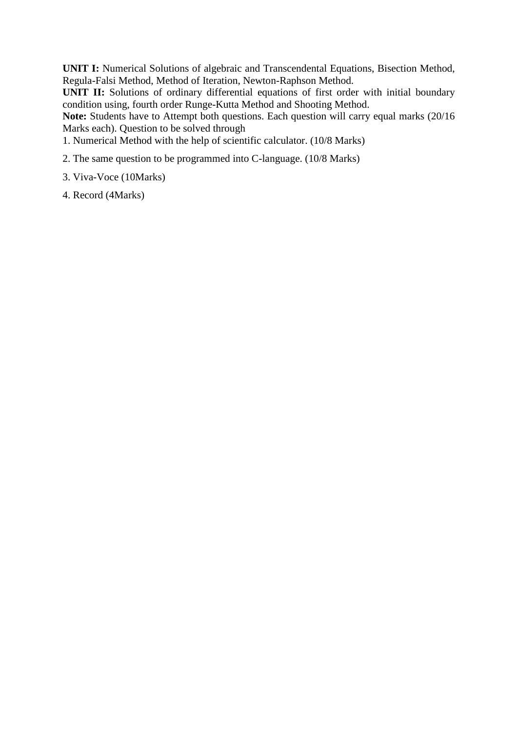**UNIT I:** Numerical Solutions of algebraic and Transcendental Equations, Bisection Method, Regula-Falsi Method, Method of Iteration, Newton-Raphson Method.

**UNIT II:** Solutions of ordinary differential equations of first order with initial boundary condition using, fourth order Runge-Kutta Method and Shooting Method.

Note: Students have to Attempt both questions. Each question will carry equal marks (20/16) Marks each). Question to be solved through

1. Numerical Method with the help of scientific calculator. (10/8 Marks)

- 2. The same question to be programmed into C-language. (10/8 Marks)
- 3. Viva-Voce (10Marks)

4. Record (4Marks)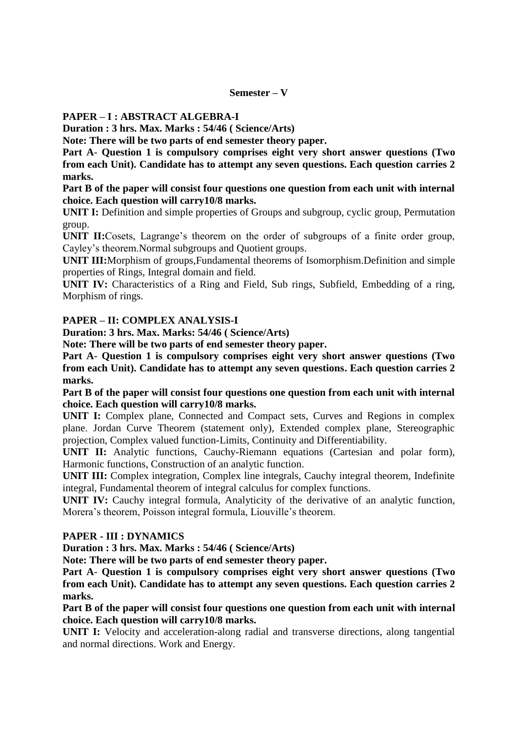#### **Semester – V**

#### **PAPER – I : ABSTRACT ALGEBRA-I**

**Duration : 3 hrs. Max. Marks : 54/46 ( Science/Arts)** 

**Note: There will be two parts of end semester theory paper.** 

**Part A**- **Question 1 is compulsory comprises eight very short answer questions (Two from each Unit). Candidate has to attempt any seven questions. Each question carries 2 marks.** 

**Part B of the paper will consist four questions one question from each unit with internal choice. Each question will carry10/8 marks.** 

**UNIT I:** Definition and simple properties of Groups and subgroup, cyclic group, Permutation group.

**UNIT II:**Cosets, Lagrange's theorem on the order of subgroups of a finite order group, Cayley's theorem.Normal subgroups and Quotient groups.

**UNIT III:**Morphism of groups,Fundamental theorems of Isomorphism.Definition and simple properties of Rings, Integral domain and field.

**UNIT IV:** Characteristics of a Ring and Field, Sub rings, Subfield, Embedding of a ring, Morphism of rings.

#### **PAPER – II: COMPLEX ANALYSIS-I**

**Duration: 3 hrs. Max. Marks: 54/46 ( Science/Arts)** 

**Note: There will be two parts of end semester theory paper.** 

**Part A**- **Question 1 is compulsory comprises eight very short answer questions (Two from each Unit). Candidate has to attempt any seven questions. Each question carries 2 marks.** 

**Part B of the paper will consist four questions one question from each unit with internal choice. Each question will carry10/8 marks.** 

**UNIT I:** Complex plane, Connected and Compact sets, Curves and Regions in complex plane. Jordan Curve Theorem (statement only), Extended complex plane, Stereographic projection, Complex valued function-Limits, Continuity and Differentiability.

**UNIT II:** Analytic functions, Cauchy-Riemann equations (Cartesian and polar form), Harmonic functions, Construction of an analytic function.

**UNIT III:** Complex integration, Complex line integrals, Cauchy integral theorem, Indefinite integral, Fundamental theorem of integral calculus for complex functions.

**UNIT IV:** Cauchy integral formula, Analyticity of the derivative of an analytic function, Morera's theorem, Poisson integral formula, Liouville's theorem.

#### **PAPER - III : DYNAMICS**

**Duration : 3 hrs. Max. Marks : 54/46 ( Science/Arts)** 

**Note: There will be two parts of end semester theory paper.** 

**Part A**- **Question 1 is compulsory comprises eight very short answer questions (Two from each Unit). Candidate has to attempt any seven questions. Each question carries 2 marks.** 

**Part B of the paper will consist four questions one question from each unit with internal choice. Each question will carry10/8 marks.** 

**UNIT I:** Velocity and acceleration-along radial and transverse directions, along tangential and normal directions. Work and Energy.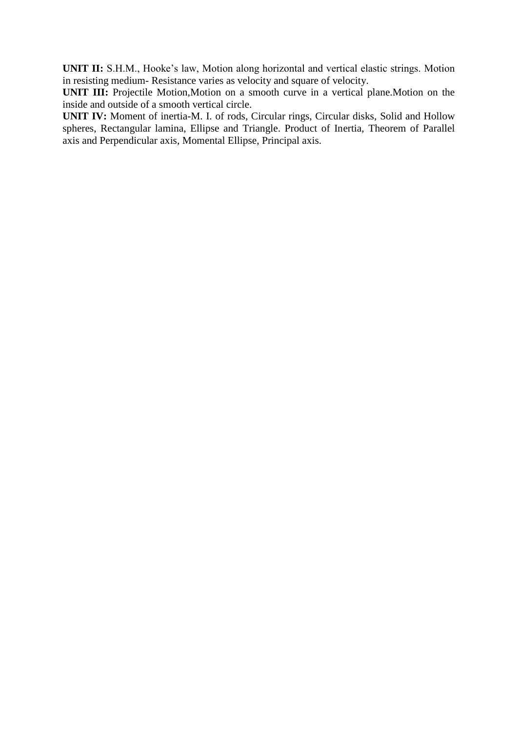**UNIT II:** S.H.M., Hooke's law, Motion along horizontal and vertical elastic strings. Motion in resisting medium- Resistance varies as velocity and square of velocity.

**UNIT III:** Projectile Motion, Motion on a smooth curve in a vertical plane. Motion on the inside and outside of a smooth vertical circle.

**UNIT IV:** Moment of inertia-M. I. of rods, Circular rings, Circular disks, Solid and Hollow spheres, Rectangular lamina, Ellipse and Triangle. Product of Inertia, Theorem of Parallel axis and Perpendicular axis, Momental Ellipse, Principal axis.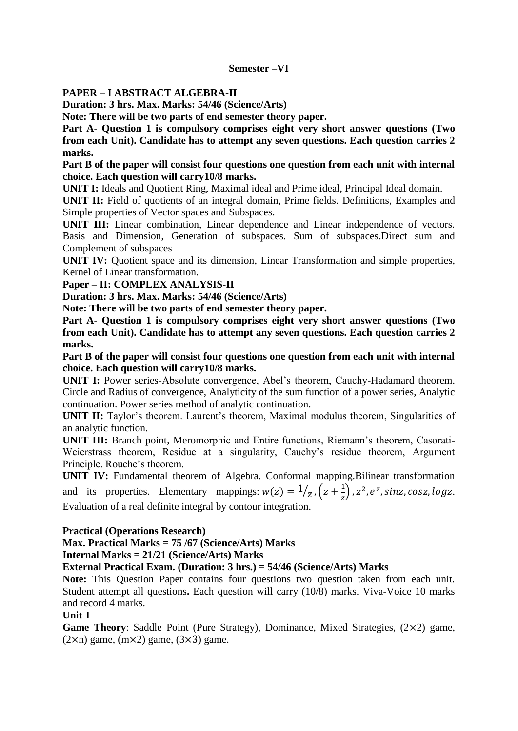#### **Semester –VI**

#### **PAPER – I ABSTRACT ALGEBRA-II**

**Duration: 3 hrs. Max. Marks: 54/46 (Science/Arts)** 

**Note: There will be two parts of end semester theory paper.** 

**Part A**- **Question 1 is compulsory comprises eight very short answer questions (Two from each Unit). Candidate has to attempt any seven questions. Each question carries 2 marks.** 

**Part B of the paper will consist four questions one question from each unit with internal choice. Each question will carry10/8 marks.** 

**UNIT I:** Ideals and Quotient Ring, Maximal ideal and Prime ideal, Principal Ideal domain.

**UNIT II:** Field of quotients of an integral domain, Prime fields. Definitions, Examples and Simple properties of Vector spaces and Subspaces.

**UNIT III:** Linear combination, Linear dependence and Linear independence of vectors. Basis and Dimension, Generation of subspaces. Sum of subspaces.Direct sum and Complement of subspaces

**UNIT IV:** Quotient space and its dimension, Linear Transformation and simple properties, Kernel of Linear transformation.

**Paper – II: COMPLEX ANALYSIS-II** 

**Duration: 3 hrs. Max. Marks: 54/46 (Science/Arts)** 

**Note: There will be two parts of end semester theory paper.** 

**Part A**- **Question 1 is compulsory comprises eight very short answer questions (Two from each Unit). Candidate has to attempt any seven questions. Each question carries 2 marks.** 

**Part B of the paper will consist four questions one question from each unit with internal choice. Each question will carry10/8 marks.** 

**UNIT I:** Power series-Absolute convergence, Abel's theorem, Cauchy-Hadamard theorem. Circle and Radius of convergence, Analyticity of the sum function of a power series, Analytic continuation. Power series method of analytic continuation.

**UNIT II:** Taylor's theorem. Laurent's theorem, Maximal modulus theorem, Singularities of an analytic function.

**UNIT III:** Branch point, Meromorphic and Entire functions, Riemann's theorem, Casorati-Weierstrass theorem, Residue at a singularity, Cauchy's residue theorem, Argument Principle. Rouche's theorem.

**UNIT IV:** Fundamental theorem of Algebra. Conformal mapping.Bilinear transformation and its properties. Elementary mappings:  $w(z) = \frac{1}{z}$ ,  $\left(z + \frac{1}{z}\right)$ ,  $z^2$ ,  $e^z$ , sinz, cosz, logz. Evaluation of a real definite integral by contour integration.

#### **Practical (Operations Research)**

**Max. Practical Marks = 75 /67 (Science/Arts) Marks** 

**Internal Marks = 21/21 (Science/Arts) Marks** 

**External Practical Exam. (Duration: 3 hrs.) = 54/46 (Science/Arts) Marks** 

**Note:** This Question Paper contains four questions two question taken from each unit. Student attempt all questions**.** Each question will carry (10/8) marks. Viva-Voice 10 marks and record 4 marks.

**Unit-I**

Game Theory: Saddle Point (Pure Strategy), Dominance, Mixed Strategies,  $(2\times2)$  game,  $(2\times n)$  game,  $(m\times 2)$  game,  $(3\times 3)$  game.